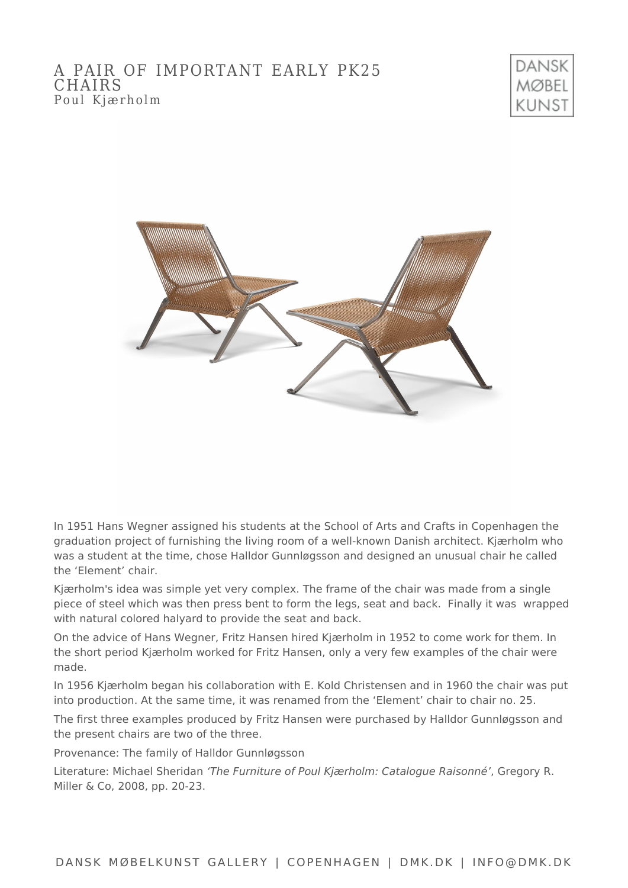



In 1951 Hans Wegner assigned his students at the School of Arts and Crafts in Copenhagen the graduation project of furnishing the living room of a well-known Danish architect. Kjærholm who was a student at the time, chose Halldor Gunnløgsson and designed an unusual chair he called the 'Element' chair.

Kjærholm's idea was simple yet very complex. The frame of the chair was made from a single piece of steel which was then press bent to form the legs, seat and back. Finally it was wrapped with natural colored halyard to provide the seat and back.

On the advice of Hans Wegner, Fritz Hansen hired Kjærholm in 1952 to come work for them. In the short period Kjærholm worked for Fritz Hansen, only a very few examples of the chair were made.

In 1956 Kjærholm began his collaboration with E. Kold Christensen and in 1960 the chair was put into production. At the same time, it was renamed from the 'Element' chair to chair no. 25.

The first three examples produced by Fritz Hansen were purchased by Halldor Gunnløgsson and the present chairs are two of the three.

Provenance: The family of Halldor Gunnløgsson

Literature: Michael Sheridan 'The Furniture of Poul Kjærholm: Catalogue Raisonné', Gregory R. Miller & Co, 2008, pp. 20-23.